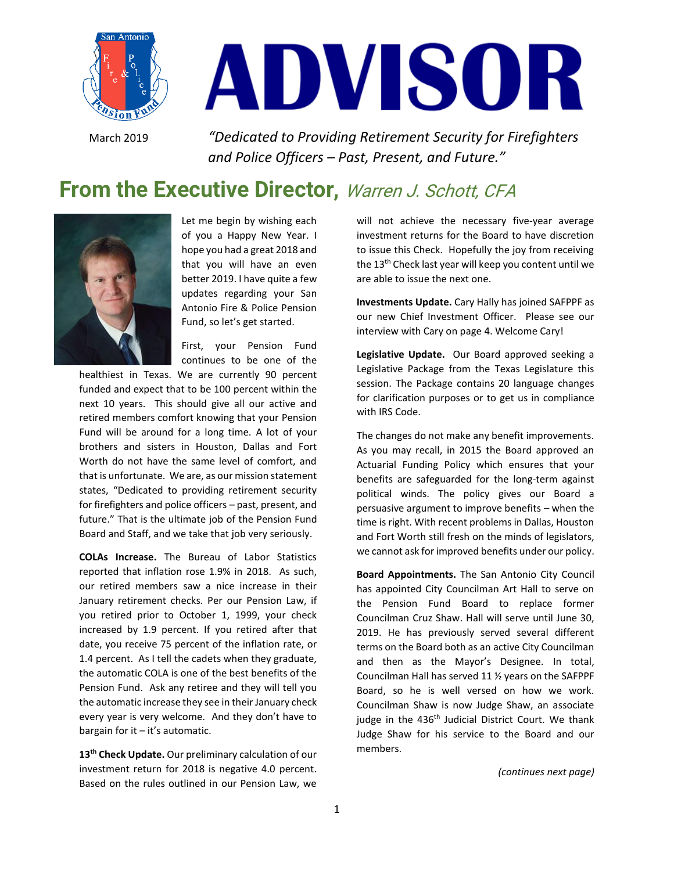

# ADVISOR

March 2019 *"Dedicated to Providing Retirement Security for Firefighters and Police Officers – Past, Present, and Future."*

# From the Executive Director, Warren J. Schott, CFA



Let me begin by wishing each of you a Happy New Year. I hope you had a great 2018 and that you will have an even better 2019. I have quite a few updates regarding your San Antonio Fire & Police Pension Fund, so let's get started.

First, your Pension Fund continues to be one of the

healthiest in Texas. We are currently 90 percent funded and expect that to be 100 percent within the next 10 years. This should give all our active and retired members comfort knowing that your Pension Fund will be around for a long time. A lot of your brothers and sisters in Houston, Dallas and Fort Worth do not have the same level of comfort, and that is unfortunate. We are, as our mission statement states, "Dedicated to providing retirement security for firefighters and police officers – past, present, and future." That is the ultimate job of the Pension Fund Board and Staff, and we take that job very seriously.

**COLAs Increase.** The Bureau of Labor Statistics reported that inflation rose 1.9% in 2018. As such, our retired members saw a nice increase in their January retirement checks. Per our Pension Law, if you retired prior to October 1, 1999, your check increased by 1.9 percent. If you retired after that date, you receive 75 percent of the inflation rate, or 1.4 percent. As I tell the cadets when they graduate, the automatic COLA is one of the best benefits of the Pension Fund. Ask any retiree and they will tell you the automatic increase they see in their January check every year is very welcome. And they don't have to bargain for it  $-$  it's automatic.

**13th Check Update.** Our preliminary calculation of our investment return for 2018 is negative 4.0 percent. Based on the rules outlined in our Pension Law, we

will not achieve the necessary five-year average investment returns for the Board to have discretion to issue this Check. Hopefully the joy from receiving the 13<sup>th</sup> Check last year will keep you content until we are able to issue the next one.

**Investments Update.** Cary Hally has joined SAFPPF as our new Chief Investment Officer. Please see our interview with Cary on page 4. Welcome Cary!

**Legislative Update.** Our Board approved seeking a Legislative Package from the Texas Legislature this session. The Package contains 20 language changes for clarification purposes or to get us in compliance with IRS Code.

The changes do not make any benefit improvements. As you may recall, in 2015 the Board approved an Actuarial Funding Policy which ensures that your benefits are safeguarded for the long-term against political winds. The policy gives our Board a persuasive argument to improve benefits – when the time is right. With recent problems in Dallas, Houston and Fort Worth still fresh on the minds of legislators, we cannot ask for improved benefits under our policy.

**Board Appointments.** The San Antonio City Council has appointed City Councilman Art Hall to serve on the Pension Fund Board to replace former Councilman Cruz Shaw. Hall will serve until June 30, 2019. He has previously served several different terms on the Board both as an active City Councilman and then as the Mayor's Designee. In total, Councilman Hall has served 11 ½ years on the SAFPPF Board, so he is well versed on how we work. Councilman Shaw is now Judge Shaw, an associate judge in the 436<sup>th</sup> Judicial District Court. We thank Judge Shaw for his service to the Board and our members.

*(continues next page)*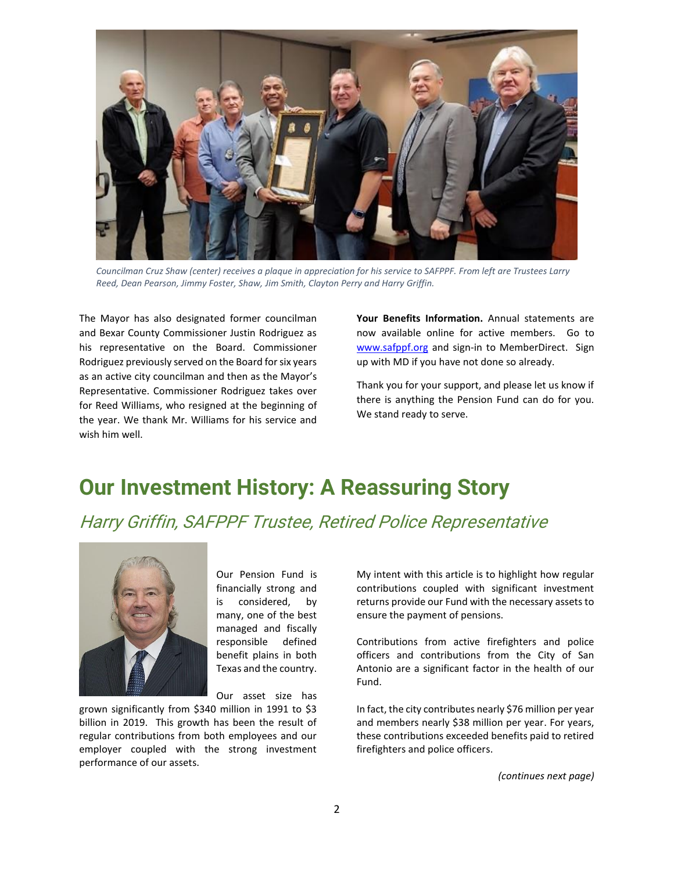

*Councilman Cruz Shaw (center) receives a plaque in appreciation for his service to SAFPPF. From left are Trustees Larry Reed, Dean Pearson, Jimmy Foster, Shaw, Jim Smith, Clayton Perry and Harry Griffin.*

The Mayor has also designated former councilman and Bexar County Commissioner Justin Rodriguez as his representative on the Board. Commissioner Rodriguez previously served on the Board for six years as an active city councilman and then as the Mayor's Representative. Commissioner Rodriguez takes over for Reed Williams, who resigned at the beginning of the year. We thank Mr. Williams for his service and wish him well.

**Your Benefits Information.** Annual statements are now available online for active members. Go to [www.safppf.org](http://www.safppf.org/) and sign-in to MemberDirect. Sign up with MD if you have not done so already.

Thank you for your support, and please let us know if there is anything the Pension Fund can do for you. We stand ready to serve.

# **Our Investment History: A Reassuring Story**

Harry Griffin, SAFPPF Trustee, Retired Police Representative



Our Pension Fund is financially strong and is considered, by many, one of the best managed and fiscally responsible defined benefit plains in both Texas and the country.

Our asset size has

grown significantly from \$340 million in 1991 to \$3 billion in 2019. This growth has been the result of regular contributions from both employees and our employer coupled with the strong investment performance of our assets.

My intent with this article is to highlight how regular contributions coupled with significant investment returns provide our Fund with the necessary assets to ensure the payment of pensions.

Contributions from active firefighters and police officers and contributions from the City of San Antonio are a significant factor in the health of our Fund.

In fact, the city contributes nearly \$76 million per year and members nearly \$38 million per year. For years, these contributions exceeded benefits paid to retired firefighters and police officers.

*(continues next page)*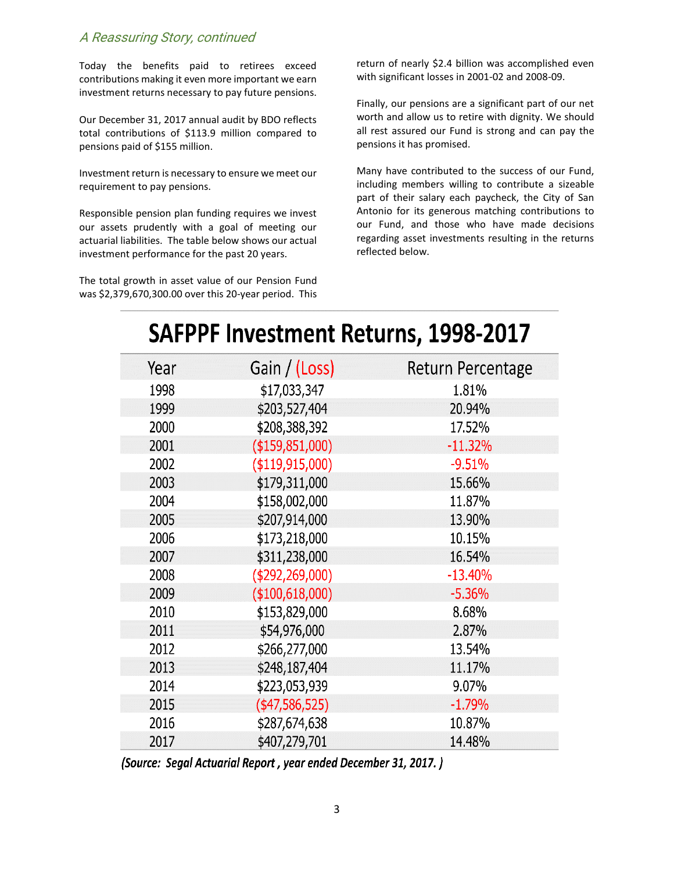#### A Reassuring Story, continued

Today the benefits paid to retirees exceed contributions making it even more important we earn investment returns necessary to pay future pensions.

Our December 31, 2017 annual audit by BDO reflects total contributions of \$113.9 million compared to pensions paid of \$155 million.

Investment return is necessary to ensure we meet our requirement to pay pensions.

Responsible pension plan funding requires we invest our assets prudently with a goal of meeting our actuarial liabilities. The table below shows our actual investment performance for the past 20 years.

The total growth in asset value of our Pension Fund was \$2,379,670,300.00 over this 20-year period. This return of nearly \$2.4 billion was accomplished even with significant losses in 2001-02 and 2008-09.

Finally, our pensions are a significant part of our net worth and allow us to retire with dignity. We should all rest assured our Fund is strong and can pay the pensions it has promised.

Many have contributed to the success of our Fund, including members willing to contribute a sizeable part of their salary each paycheck, the City of San Antonio for its generous matching contributions to our Fund, and those who have made decisions regarding asset investments resulting in the returns reflected below.

| Year | Gain / (Loss)     | <b>Return Percentage</b> |
|------|-------------------|--------------------------|
| 1998 | \$17,033,347      | 1.81%                    |
| 1999 | \$203,527,404     | 20.94%                   |
| 2000 | \$208,388,392     | 17.52%                   |
| 2001 | (\$159,851,000)   | $-11.32%$                |
| 2002 | (\$119,915,000)   | $-9.51%$                 |
| 2003 | \$179,311,000     | 15.66%                   |
| 2004 | \$158,002,000     | 11.87%                   |
| 2005 | \$207,914,000     | 13.90%                   |
| 2006 | \$173,218,000     | 10.15%                   |
| 2007 | \$311,238,000     | 16.54%                   |
| 2008 | (\$292, 269, 000) | $-13.40%$                |
| 2009 | (\$100,618,000)   | $-5.36%$                 |
| 2010 | \$153,829,000     | 8.68%                    |
| 2011 | \$54,976,000      | 2.87%                    |
| 2012 | \$266,277,000     | 13.54%                   |
| 2013 | \$248,187,404     | 11.17%                   |
| 2014 | \$223,053,939     | 9.07%                    |
| 2015 | (\$47,586,525)    | $-1.79%$                 |
| 2016 | \$287,674,638     | 10.87%                   |
| 2017 | \$407,279,701     | 14.48%                   |

# SAFPPF Investment Returns, 1998-2017

(Source: Segal Actuarial Report, year ended December 31, 2017.)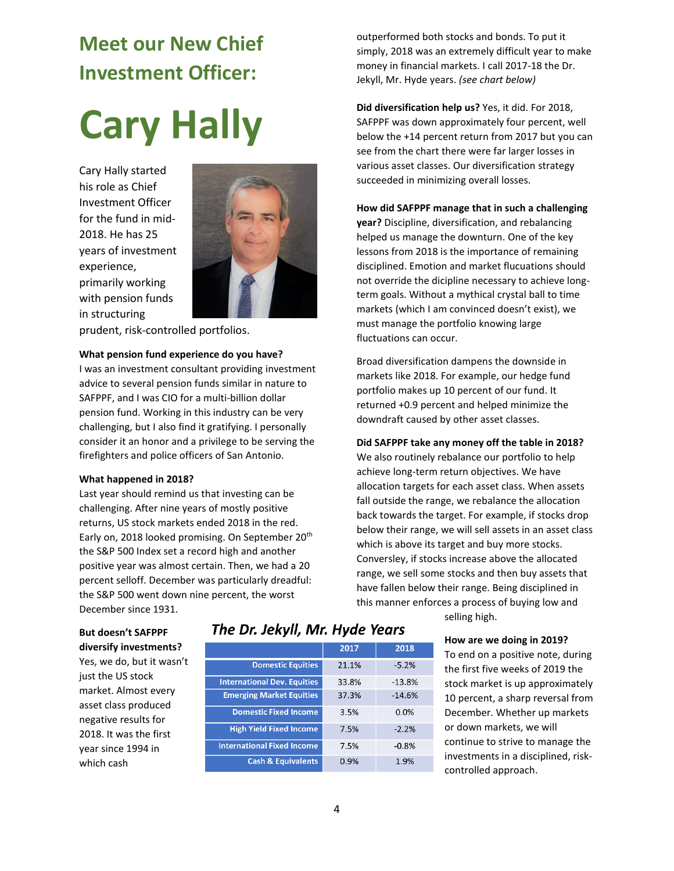# **Meet our New Chief Investment Officer:**

# **Cary Hally**

Cary Hally started his role as Chief Investment Officer for the fund in mid-2018. He has 25 years of investment experience, primarily working with pension funds in structuring



prudent, risk-controlled portfolios.

#### **What pension fund experience do you have?**

I was an investment consultant providing investment advice to several pension funds similar in nature to SAFPPF, and I was CIO for a multi-billion dollar pension fund. Working in this industry can be very challenging, but I also find it gratifying. I personally consider it an honor and a privilege to be serving the firefighters and police officers of San Antonio.

#### **What happened in 2018?**

Last year should remind us that investing can be challenging. After nine years of mostly positive returns, US stock markets ended 2018 in the red. Early on, 2018 looked promising. On September 20<sup>th</sup> the S&P 500 Index set a record high and another positive year was almost certain. Then, we had a 20 percent selloff. December was particularly dreadful: the S&P 500 went down nine percent, the worst December since 1931.

#### **But doesn't SAFPPF diversify investments?**

Yes, we do, but it wasn't just the US stock market. Almost every asset class produced negative results for 2018. It was the first year since 1994 in which cash

### The Dr. Jekyll, Mr. Hyde Years

| 2017  | 2018     |
|-------|----------|
| 21.1% | $-5.2%$  |
| 33.8% | $-13.8%$ |
| 37.3% | $-14.6%$ |
| 3.5%  | 0.0%     |
| 7.5%  | $-2.2%$  |
| 7.5%  | $-0.8%$  |
| 0.9%  | 1.9%     |
|       |          |

selling high.

#### **How are we doing in 2019?**

To end on a positive note, during the first five weeks of 2019 the stock market is up approximately 10 percent, a sharp reversal from December. Whether up markets or down markets, we will continue to strive to manage the investments in a disciplined, riskcontrolled approach.

outperformed both stocks and bonds. To put it simply, 2018 was an extremely difficult year to make money in financial markets. I call 2017-18 the Dr. Jekyll, Mr. Hyde years. *(see chart below)*

**Did diversification help us?** Yes, it did. For 2018, SAFPPF was down approximately four percent, well below the +14 percent return from 2017 but you can see from the chart there were far larger losses in various asset classes. Our diversification strategy succeeded in minimizing overall losses.

#### **How did SAFPPF manage that in such a challenging**

**year?** Discipline, diversification, and rebalancing helped us manage the downturn. One of the key lessons from 2018 is the importance of remaining disciplined. Emotion and market flucuations should not override the dicipline necessary to achieve longterm goals. Without a mythical crystal ball to time markets (which I am convinced doesn't exist), we must manage the portfolio knowing large fluctuations can occur.

Broad diversification dampens the downside in markets like 2018. For example, our hedge fund portfolio makes up 10 percent of our fund. It returned +0.9 percent and helped minimize the downdraft caused by other asset classes.

#### **Did SAFPPF take any money off the table in 2018?**

We also routinely rebalance our portfolio to help achieve long-term return objectives. We have allocation targets for each asset class. When assets fall outside the range, we rebalance the allocation back towards the target. For example, if stocks drop below their range, we will sell assets in an asset class which is above its target and buy more stocks. Conversley, if stocks increase above the allocated range, we sell some stocks and then buy assets that have fallen below their range. Being disciplined in this manner enforces a process of buying low and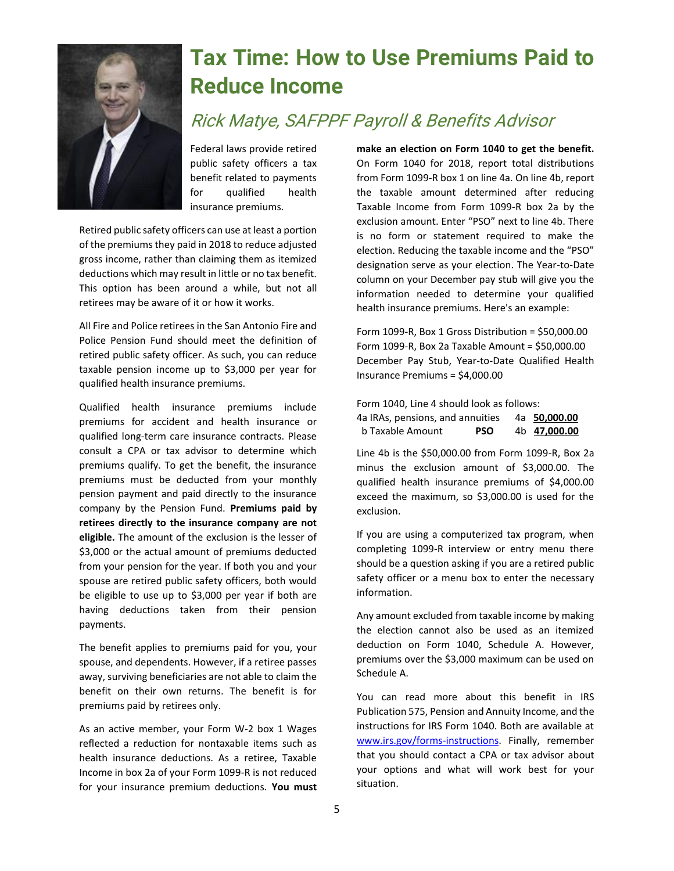

# **Tax Time: How to Use Premiums Paid to Reduce Income**

# Rick Matye, SAFPPF Payroll & Benefits Advisor

Federal laws provide retired public safety officers a tax benefit related to payments for qualified health insurance premiums.

Retired public safety officers can use at least a portion of the premiums they paid in 2018 to reduce adjusted gross income, rather than claiming them as itemized deductions which may result in little or no tax benefit. This option has been around a while, but not all retirees may be aware of it or how it works.

All Fire and Police retirees in the San Antonio Fire and Police Pension Fund should meet the definition of retired public safety officer. As such, you can reduce taxable pension income up to \$3,000 per year for qualified health insurance premiums.

Qualified health insurance premiums include premiums for accident and health insurance or qualified long-term care insurance contracts. Please consult a CPA or tax advisor to determine which premiums qualify. To get the benefit, the insurance premiums must be deducted from your monthly pension payment and paid directly to the insurance company by the Pension Fund. **Premiums paid by retirees directly to the insurance company are not eligible.** The amount of the exclusion is the lesser of \$3,000 or the actual amount of premiums deducted from your pension for the year. If both you and your spouse are retired public safety officers, both would be eligible to use up to \$3,000 per year if both are having deductions taken from their pension payments.

The benefit applies to premiums paid for you, your spouse, and dependents. However, if a retiree passes away, surviving beneficiaries are not able to claim the benefit on their own returns. The benefit is for premiums paid by retirees only.

As an active member, your Form W-2 box 1 Wages reflected a reduction for nontaxable items such as health insurance deductions. As a retiree, Taxable Income in box 2a of your Form 1099-R is not reduced for your insurance premium deductions. **You must**  **make an election on Form 1040 to get the benefit.** On Form 1040 for 2018, report total distributions from Form 1099-R box 1 on line 4a. On line 4b, report the taxable amount determined after reducing Taxable Income from Form 1099-R box 2a by the exclusion amount. Enter "PSO" next to line 4b. There is no form or statement required to make the election. Reducing the taxable income and the "PSO" designation serve as your election. The Year-to-Date column on your December pay stub will give you the information needed to determine your qualified health insurance premiums. Here's an example:

Form 1099-R, Box 1 Gross Distribution = \$50,000.00 Form 1099-R, Box 2a Taxable Amount = \$50,000.00 December Pay Stub, Year-to-Date Qualified Health Insurance Premiums = \$4,000.00

Form 1040, Line 4 should look as follows:

| 4a IRAs, pensions, and annuities | 4a 50,000.00 |              |
|----------------------------------|--------------|--------------|
| b Taxable Amount                 | <b>PSO</b>   | 4b 47,000.00 |

Line 4b is the \$50,000.00 from Form 1099-R, Box 2a minus the exclusion amount of \$3,000.00. The qualified health insurance premiums of \$4,000.00 exceed the maximum, so \$3,000.00 is used for the exclusion.

If you are using a computerized tax program, when completing 1099-R interview or entry menu there should be a question asking if you are a retired public safety officer or a menu box to enter the necessary information.

Any amount excluded from taxable income by making the election cannot also be used as an itemized deduction on Form 1040, Schedule A. However, premiums over the \$3,000 maximum can be used on Schedule A.

You can read more about this benefit in IRS Publication 575, Pension and Annuity Income, and the instructions for IRS Form 1040. Both are available at [www.irs.gov/forms-instructions.](http://www.irs.gov/forms-instructions) Finally, remember that you should contact a CPA or tax advisor about your options and what will work best for your situation.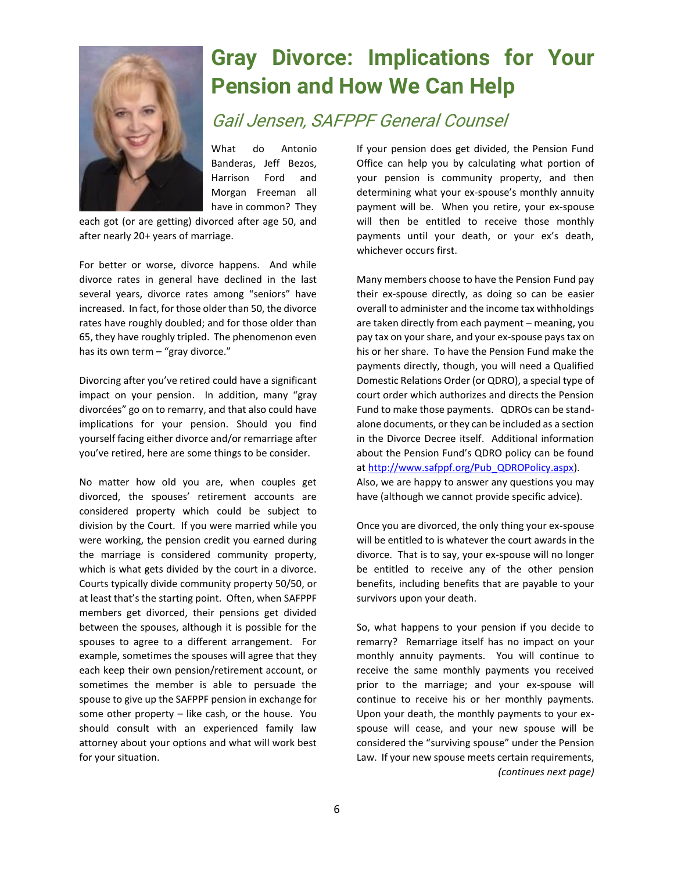

# **Gray Divorce: Implications for Your Pension and How We Can Help**

# Gail Jensen, SAFPPF General Counsel

What do Antonio Banderas, Jeff Bezos, Harrison Ford and Morgan Freeman all have in common? They

each got (or are getting) divorced after age 50, and after nearly 20+ years of marriage.

For better or worse, divorce happens. And while divorce rates in general have declined in the last several years, divorce rates among "seniors" have increased. In fact, for those older than 50, the divorce rates have roughly doubled; and for those older than 65, they have roughly tripled. The phenomenon even has its own term - "gray divorce."

Divorcing after you've retired could have a significant impact on your pension. In addition, many "gray divorcées" go on to remarry, and that also could have implications for your pension. Should you find yourself facing either divorce and/or remarriage after you've retired, here are some things to be consider.

No matter how old you are, when couples get divorced, the spouses' retirement accounts are considered property which could be subject to division by the Court. If you were married while you were working, the pension credit you earned during the marriage is considered community property, which is what gets divided by the court in a divorce. Courts typically divide community property 50/50, or at least that's the starting point. Often, when SAFPPF members get divorced, their pensions get divided between the spouses, although it is possible for the spouses to agree to a different arrangement. For example, sometimes the spouses will agree that they each keep their own pension/retirement account, or sometimes the member is able to persuade the spouse to give up the SAFPPF pension in exchange for some other property – like cash, or the house. You should consult with an experienced family law attorney about your options and what will work best for your situation.

If your pension does get divided, the Pension Fund Office can help you by calculating what portion of your pension is community property, and then determining what your ex-spouse's monthly annuity payment will be. When you retire, your ex-spouse will then be entitled to receive those monthly payments until your death, or your ex's death, whichever occurs first.

Many members choose to have the Pension Fund pay their ex-spouse directly, as doing so can be easier overall to administer and the income tax withholdings are taken directly from each payment – meaning, you pay tax on your share, and your ex-spouse pays tax on his or her share. To have the Pension Fund make the payments directly, though, you will need a Qualified Domestic Relations Order (or QDRO), a special type of court order which authorizes and directs the Pension Fund to make those payments. QDROs can be standalone documents, or they can be included as a section in the Divorce Decree itself. Additional information about the Pension Fund's QDRO policy can be found a[t http://www.safppf.org/Pub\\_QDROPolicy.aspx\)](http://www.safppf.org/Pub_QDROPolicy.aspx). Also, we are happy to answer any questions you may have (although we cannot provide specific advice).

Once you are divorced, the only thing your ex-spouse will be entitled to is whatever the court awards in the divorce. That is to say, your ex-spouse will no longer be entitled to receive any of the other pension benefits, including benefits that are payable to your survivors upon your death.

So, what happens to your pension if you decide to remarry? Remarriage itself has no impact on your monthly annuity payments. You will continue to receive the same monthly payments you received prior to the marriage; and your ex-spouse will continue to receive his or her monthly payments. Upon your death, the monthly payments to your exspouse will cease, and your new spouse will be considered the "surviving spouse" under the Pension Law. If your new spouse meets certain requirements, *(continues next page)*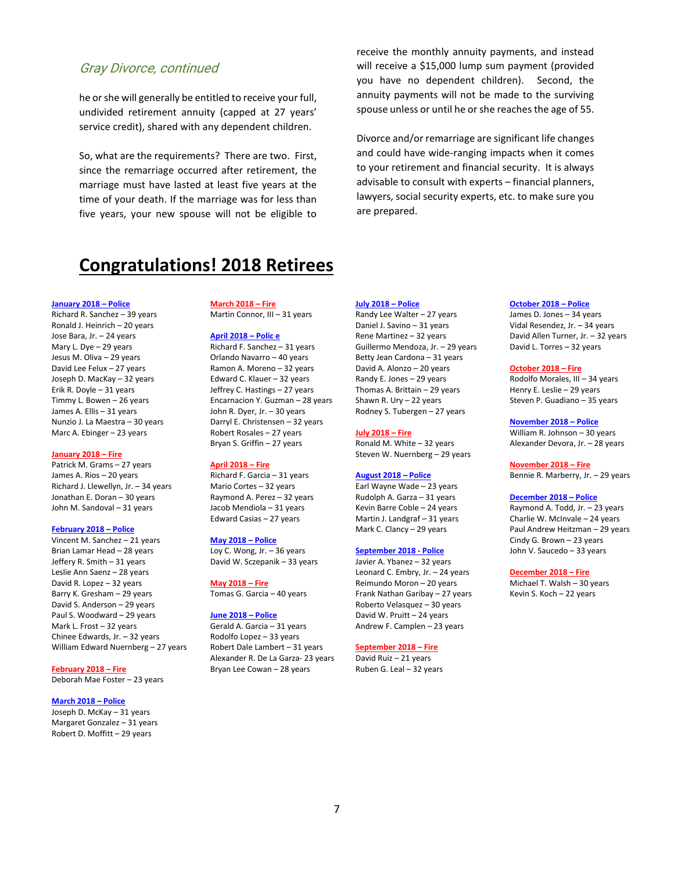#### Gray Divorce, continued

he or she will generally be entitled to receive your full, undivided retirement annuity (capped at 27 years' service credit), shared with any dependent children.

So, what are the requirements? There are two. First, since the remarriage occurred after retirement, the marriage must have lasted at least five years at the time of your death. If the marriage was for less than five years, your new spouse will not be eligible to

receive the monthly annuity payments, and instead will receive a \$15,000 lump sum payment (provided you have no dependent children). Second, the annuity payments will not be made to the surviving spouse unless or until he or she reaches the age of 55.

Divorce and/or remarriage are significant life changes and could have wide-ranging impacts when it comes to your retirement and financial security. It is always advisable to consult with experts – financial planners, lawyers, social security experts, etc. to make sure you are prepared.

## **Congratulations! 2018 Retirees**

#### **January 2018 – Police**

Richard R. Sanchez – 39 years Ronald J. Heinrich – 20 years Jose Bara, Jr. – 24 years Mary L. Dye – 29 years Jesus M. Oliva – 29 years David Lee Felux – 27 years Joseph D. MacKay – 32 years Erik R. Doyle – 31 years Timmy L. Bowen – 26 years James A. Ellis – 31 years Nunzio J. La Maestra – 30 years Marc A. Ebinger – 23 years

#### **January 2018 – Fire**

Patrick M. Grams – 27 years James A. Rios – 20 years Richard J. Llewellyn, Jr. – 34 years Jonathan E. Doran – 30 years John M. Sandoval – 31 years

#### **February 2018 – Police**

Vincent M. Sanchez – 21 years Brian Lamar Head – 28 years Jeffery R. Smith – 31 years Leslie Ann Saenz – 28 years David R. Lopez – 32 years Barry K. Gresham – 29 years David S. Anderson – 29 years Paul S. Woodward – 29 years Mark L. Frost – 32 years Chinee Edwards, Jr. – 32 years William Edward Nuernberg – 27 years

**February 2018 – Fire**

Deborah Mae Foster – 23 years

#### **March 2018 – Police**

Joseph D. McKay – 31 years Margaret Gonzalez – 31 years Robert D. Moffitt – 29 years

#### **March 2018 – Fire** Martin Connor, III – 31 years

#### **April 2018 – Polic e**

Richard F. Sanchez – 31 years Orlando Navarro – 40 years Ramon A. Moreno – 32 years Edward C. Klauer – 32 years Jeffrey C. Hastings – 27 years Encarnacion Y. Guzman – 28 years John R. Dyer, Jr. – 30 years Darryl E. Christensen – 32 years Robert Rosales – 27 years Bryan S. Griffin – 27 years

#### **April 2018 – Fire**

Richard F. Garcia – 31 years Mario Cortes – 32 years Raymond A. Perez – 32 years Jacob Mendiola – 31 years Edward Casias – 27 years

#### **May 2018 – Police**

Loy C. Wong, Jr. – 36 years David W. Sczepanik – 33 years

#### **May 2018 – Fire**

Tomas G. Garcia – 40 years

#### **June 2018 – Police**

Gerald A. Garcia – 31 years Rodolfo Lopez – 33 years Robert Dale Lambert – 31 years Alexander R. De La Garza- 23 years Bryan Lee Cowan – 28 years

#### **July 2018 – Police**

Randy Lee Walter – 27 years Daniel J. Savino – 31 years Rene Martinez – 32 years Guillermo Mendoza, Jr. – 29 years Betty Jean Cardona – 31 years David A. Alonzo – 20 years Randy E. Jones – 29 years Thomas A. Brittain – 29 years Shawn R. Ury – 22 years Rodney S. Tubergen – 27 years

#### **July 2018 – Fire**

Ronald M. White – 32 years Steven W. Nuernberg – 29 years

#### **August 2018 – Police**

Earl Wayne Wade – 23 years Rudolph A. Garza – 31 years Kevin Barre Coble – 24 years Martin J. Landgraf – 31 years Mark C. Clancy – 29 years

#### **September 2018 - Police**

Javier A. Ybanez – 32 years Leonard C. Embry, Jr. – 24 years Reimundo Moron – 20 years Frank Nathan Garibay – 27 years Roberto Velasquez – 30 years David W. Pruitt – 24 years Andrew F. Camplen – 23 years

#### **September 2018 – Fire**

David Ruiz – 21 years Ruben G. Leal – 32 years

#### **October 2018 – Police**

James D. Jones – 34 years Vidal Resendez, Jr. – 34 years David Allen Turner, Jr. – 32 years David L. Torres – 32 years

#### **October 2018 – Fire**

Rodolfo Morales, III – 34 years Henry E. Leslie – 29 years Steven P. Guadiano – 35 years

**November 2018 – Police** William R. Johnson – 30 years Alexander Devora, Jr. – 28 years

**November 2018 – Fire** Bennie R. Marberry, Jr. – 29 years

#### **December 2018 – Police**

Raymond A. Todd, Jr. – 23 years Charlie W. McInvale – 24 years Paul Andrew Heitzman – 29 years Cindy G. Brown – 23 years John V. Saucedo – 33 years

#### **December 2018 – Fire**

Michael T. Walsh – 30 years Kevin S. Koch – 22 years